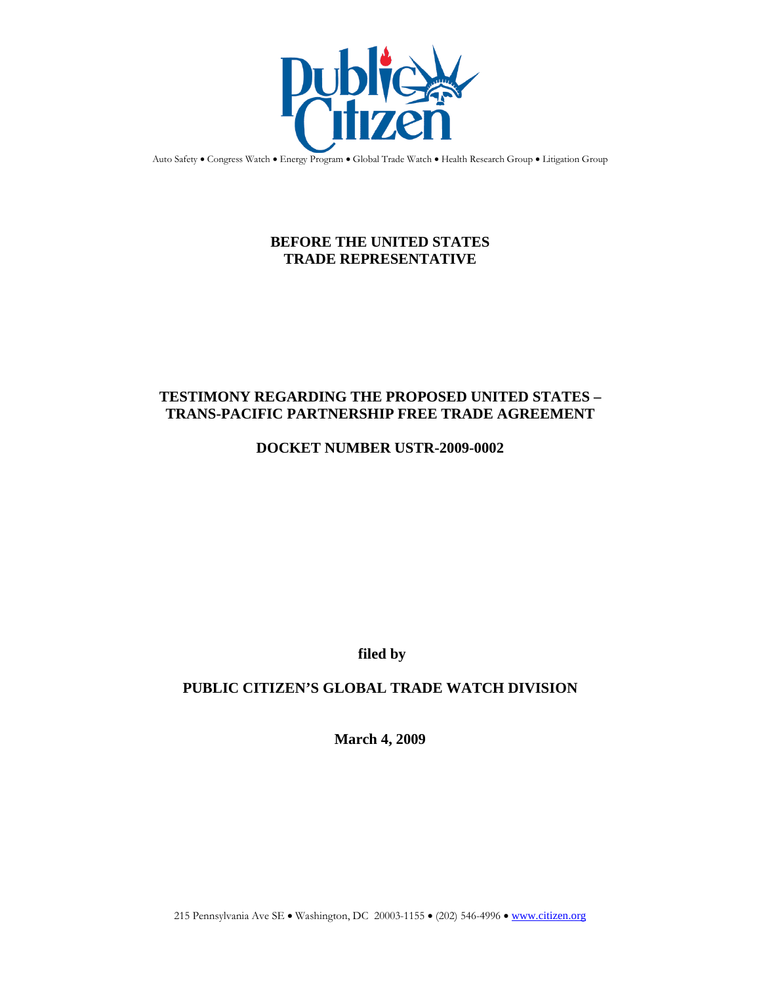

Auto Safety . Congress Watch . Energy Program . Global Trade Watch . Health Research Group . Litigation Group

# **BEFORE THE UNITED STATES TRADE REPRESENTATIVE**

## **TESTIMONY REGARDING THE PROPOSED UNITED STATES – TRANS-PACIFIC PARTNERSHIP FREE TRADE AGREEMENT**

## **DOCKET NUMBER USTR-2009-0002**

**filed by**

## **PUBLIC CITIZEN'S GLOBAL TRADE WATCH DIVISION**

**March 4, 2009**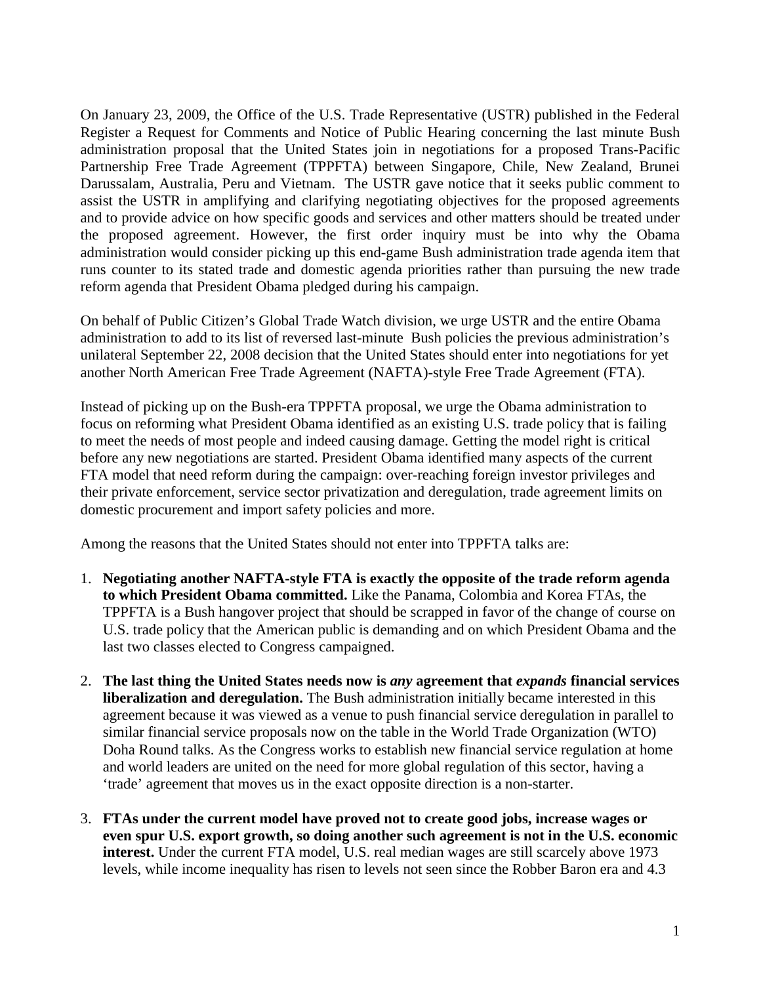On January 23, 2009, the Office of the U.S. Trade Representative (USTR) published in the Federal Register a Request for Comments and Notice of Public Hearing concerning the last minute Bush administration proposal that the United States join in negotiations for a proposed Trans-Pacific Partnership Free Trade Agreement (TPPFTA) between Singapore, Chile, New Zealand, Brunei Darussalam, Australia, Peru and Vietnam. The USTR gave notice that it seeks public comment to assist the USTR in amplifying and clarifying negotiating objectives for the proposed agreements and to provide advice on how specific goods and services and other matters should be treated under the proposed agreement. However, the first order inquiry must be into why the Obama administration would consider picking up this end-game Bush administration trade agenda item that runs counter to its stated trade and domestic agenda priorities rather than pursuing the new trade reform agenda that President Obama pledged during his campaign.

On behalf of Public Citizen's Global Trade Watch division, we urge USTR and the entire Obama administration to add to its list of reversed last-minute Bush policies the previous administration's unilateral September 22, 2008 decision that the United States should enter into negotiations for yet another North American Free Trade Agreement (NAFTA)-style Free Trade Agreement (FTA).

Instead of picking up on the Bush-era TPPFTA proposal, we urge the Obama administration to focus on reforming what President Obama identified as an existing U.S. trade policy that is failing to meet the needs of most people and indeed causing damage. Getting the model right is critical before any new negotiations are started. President Obama identified many aspects of the current FTA model that need reform during the campaign: over-reaching foreign investor privileges and their private enforcement, service sector privatization and deregulation, trade agreement limits on domestic procurement and import safety policies and more.

Among the reasons that the United States should not enter into TPPFTA talks are:

- 1. **Negotiating another NAFTA-style FTA is exactly the opposite of the trade reform agenda to which President Obama committed.** Like the Panama, Colombia and Korea FTAs, the TPPFTA is a Bush hangover project that should be scrapped in favor of the change of course on U.S. trade policy that the American public is demanding and on which President Obama and the last two classes elected to Congress campaigned.
- 2. **The last thing the United States needs now is** *any* **agreement that** *expands* **financial services liberalization and deregulation.** The Bush administration initially became interested in this agreement because it was viewed as a venue to push financial service deregulation in parallel to similar financial service proposals now on the table in the World Trade Organization (WTO) Doha Round talks. As the Congress works to establish new financial service regulation at home and world leaders are united on the need for more global regulation of this sector, having a 'trade' agreement that moves us in the exact opposite direction is a non-starter.
- 3. **FTAs under the current model have proved not to create good jobs, increase wages or even spur U.S. export growth, so doing another such agreement is not in the U.S. economic interest.** Under the current FTA model, U.S. real median wages are still scarcely above 1973 levels, while income inequality has risen to levels not seen since the Robber Baron era and 4.3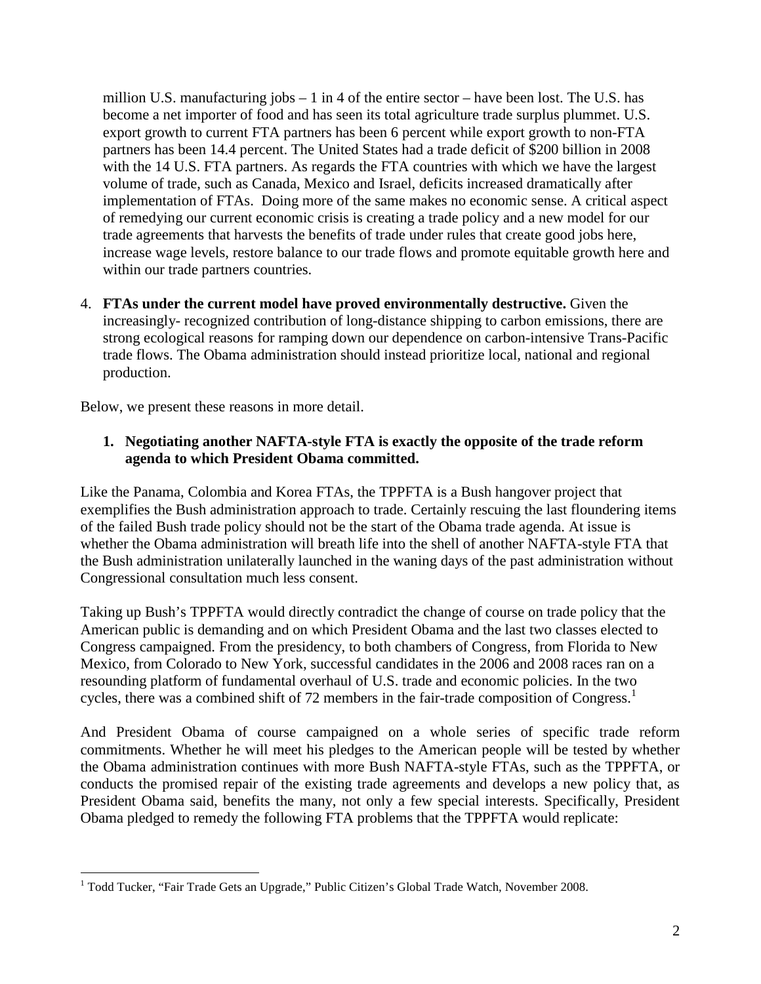million U.S. manufacturing jobs – 1 in 4 of the entire sector – have been lost. The U.S. has become a net importer of food and has seen its total agriculture trade surplus plummet. U.S. export growth to current FTA partners has been 6 percent while export growth to non-FTA partners has been 14.4 percent. The United States had a trade deficit of \$200 billion in 2008 with the 14 U.S. FTA partners. As regards the FTA countries with which we have the largest volume of trade, such as Canada, Mexico and Israel, deficits increased dramatically after implementation of FTAs. Doing more of the same makes no economic sense. A critical aspect of remedying our current economic crisis is creating a trade policy and a new model for our trade agreements that harvests the benefits of trade under rules that create good jobs here, increase wage levels, restore balance to our trade flows and promote equitable growth here and within our trade partners countries.

4. **FTAs under the current model have proved environmentally destructive.** Given the increasingly- recognized contribution of long-distance shipping to carbon emissions, there are strong ecological reasons for ramping down our dependence on carbon-intensive Trans-Pacific trade flows. The Obama administration should instead prioritize local, national and regional production.

Below, we present these reasons in more detail.

### **1. Negotiating another NAFTA-style FTA is exactly the opposite of the trade reform agenda to which President Obama committed.**

Like the Panama, Colombia and Korea FTAs, the TPPFTA is a Bush hangover project that exemplifies the Bush administration approach to trade. Certainly rescuing the last floundering items of the failed Bush trade policy should not be the start of the Obama trade agenda. At issue is whether the Obama administration will breath life into the shell of another NAFTA-style FTA that the Bush administration unilaterally launched in the waning days of the past administration without Congressional consultation much less consent.

Taking up Bush's TPPFTA would directly contradict the change of course on trade policy that the American public is demanding and on which President Obama and the last two classes elected to Congress campaigned. From the presidency, to both chambers of Congress, from Florida to New Mexico, from Colorado to New York, successful candidates in the 2006 and 2008 races ran on a resounding platform of fundamental overhaul of U.S. trade and economic policies. In the two cycles, there was a combined shift of 72 members in the fair-trade composition of Congress.<sup>[1](#page-2-0)</sup>

And President Obama of course campaigned on a whole series of specific trade reform commitments. Whether he will meet his pledges to the American people will be tested by whether the Obama administration continues with more Bush NAFTA-style FTAs, such as the TPPFTA, or conducts the promised repair of the existing trade agreements and develops a new policy that, as President Obama said, benefits the many, not only a few special interests. Specifically, President Obama pledged to remedy the following FTA problems that the TPPFTA would replicate:

<span id="page-2-0"></span> $1$  Todd Tucker, "Fair Trade Gets an Upgrade," Public Citizen's Global Trade Watch, November 2008.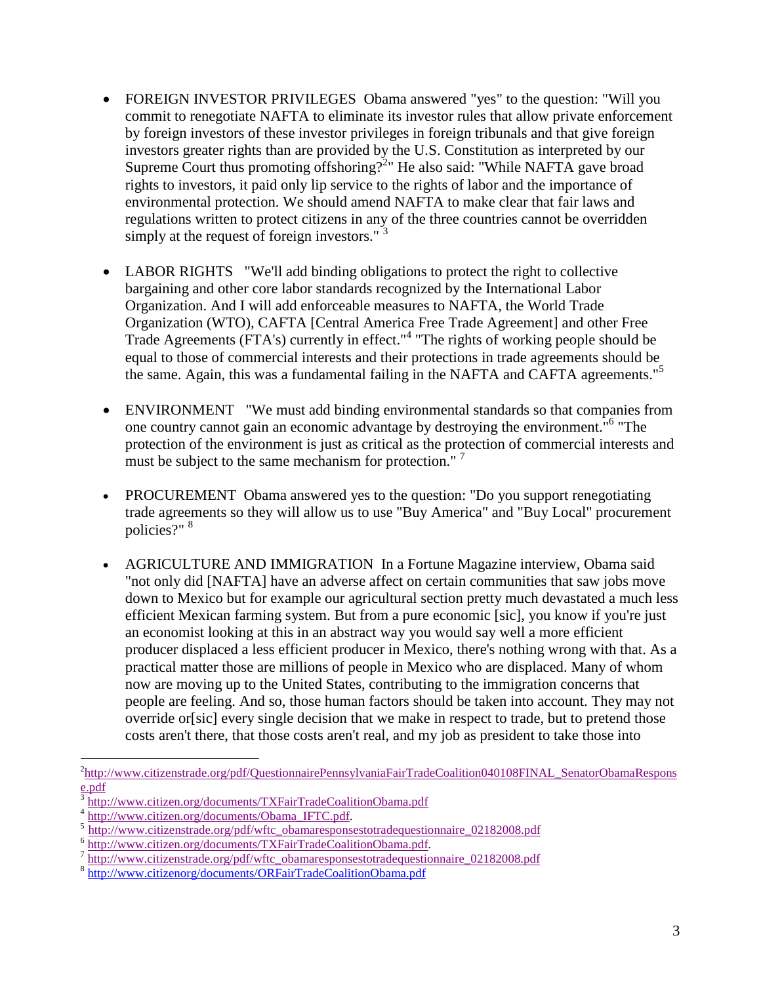- FOREIGN INVESTOR PRIVILEGES Obama answered "yes" to the question: "Will you commit to renegotiate NAFTA to eliminate its investor rules that allow private enforcement by foreign investors of these investor privileges in foreign tribunals and that give foreign investors greater rights than are provided by the U.S. Constitution as interpreted by our Supreme Court thus promoting offshoring?<sup>2</sup>["](#page-3-0) He also said: "While NAFTA gave broad rights to investors, it paid only lip service to the rights of labor and the importance of environmental protection. We should amend NAFTA to make clear that fair laws and regulations written to protect citizens in any of the three countries cannot be overridden simply at the request of foreign investors."<sup>[3](#page-3-1)</sup>
- LABOR RIGHTS "We'll add binding obligations to protect the right to collective bargaining and other core labor standards recognized by the International Labor Organization. And I will add enforceable measures to NAFTA, the World Trade Organization (WTO), CAFTA [Central America Free Trade Agreement] and other Free Trade Agreements (FTA's) currently in effect."[4](#page-3-2) "The rights of working people should be equal to those of commercial interests and their protections in trade agreements should be the same. Again, this was a fundamental failing in the NAFTA and CAFTA agreements.<sup>"[5](#page-3-3)</sup>
- ENVIRONMENT "We must add binding environmental standards so that companies from one country cannot gain an economic advantage by destroying the environment.<sup>"[6](#page-3-4)</sup> "The protection of the environment is just as critical as the protection of commercial interests and must be subject to the same mechanism for protection."<sup>[7](#page-3-5)</sup>
- PROCUREMENT Obama answered yes to the question: "Do you support renegotiating trade agreements so they will allow us to use "Buy America" and "Buy Local" procurement policies?" [8](#page-3-6)
- AGRICULTURE AND IMMIGRATION In a Fortune Magazine interview, Obama said "not only did [NAFTA] have an adverse affect on certain communities that saw jobs move down to Mexico but for example our agricultural section pretty much devastated a much less efficient Mexican farming system. But from a pure economic [sic], you know if you're just an economist looking at this in an abstract way you would say well a more efficient producer displaced a less efficient producer in Mexico, there's nothing wrong with that. As a practical matter those are millions of people in Mexico who are displaced. Many of whom now are moving up to the United States, contributing to the immigration concerns that people are feeling. And so, those human factors should be taken into account. They may not override or[sic] every single decision that we make in respect to trade, but to pretend those costs aren't there, that those costs aren't real, and my job as president to take those into

<span id="page-3-0"></span><sup>&</sup>lt;sup>2</sup>http://www.citizenstrade.org/pdf/QuestionnairePennsylvaniaFairTradeCoalition040108FINAL\_SenatorObamaRespons e.pdf

<span id="page-3-2"></span><span id="page-3-1"></span><sup>3</sup> http://www.citizen.org/documents/TXFairTradeCoalitionObama.pdf

<span id="page-3-3"></span><sup>4</sup> http://www.citizen.org/documents/Obama\_IFTC.pdf.

<span id="page-3-4"></span><sup>&</sup>lt;sup>5</sup> http://www.citizenstrade.org/pdf/wftc\_obamaresponsestotradequestionnaire\_02182008.pdf

<sup>6</sup> http://www.citizen.org/documents/TXFairTradeCoalitionObama.pdf.

<span id="page-3-6"></span><span id="page-3-5"></span><sup>&</sup>lt;sup>7</sup> http://www.citizenstrade.org/pdf/wftc\_obamaresponsestotradequestionnaire\_02182008.pdf

<sup>8</sup> http://www.citizenorg/documents/ORFairTradeCoalitionObama.pdf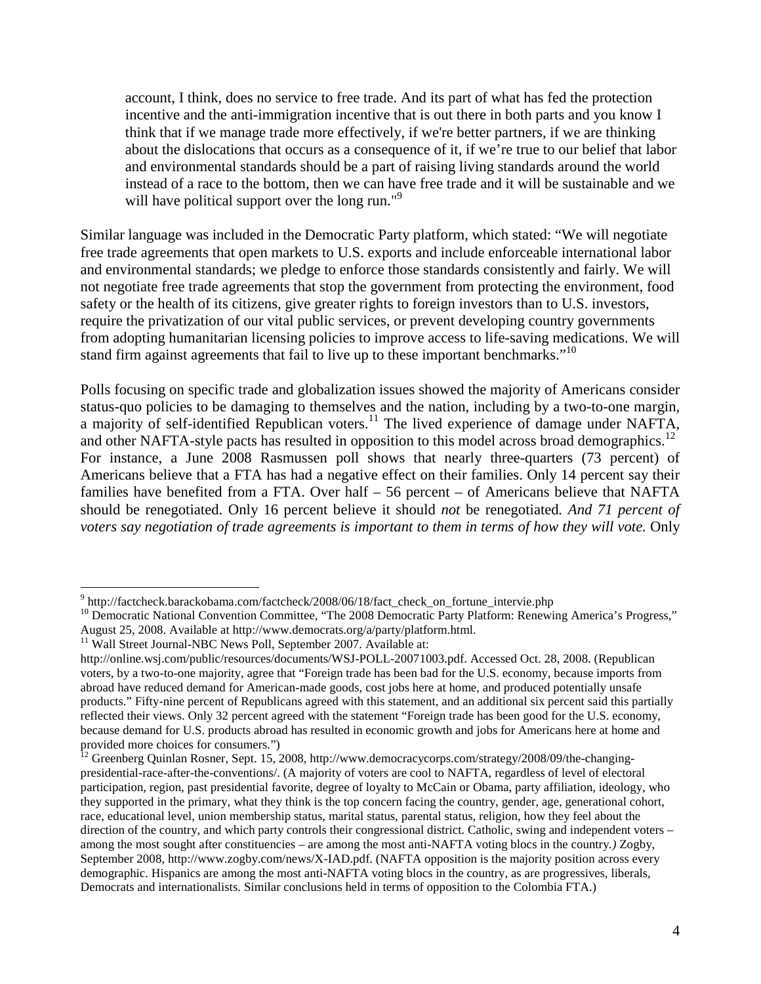account, I think, does no service to free trade. And its part of what has fed the protection incentive and the anti-immigration incentive that is out there in both parts and you know I think that if we manage trade more effectively, if we're better partners, if we are thinking about the dislocations that occurs as a consequence of it, if we're true to our belief that labor and environmental standards should be a part of raising living standards around the world instead of a race to the bottom, then we can have free trade and it will be sustainable and we willhave political support over the long run."<sup>9</sup>

Similar language was included in the Democratic Party platform, which stated: "We will negotiate free trade agreements that open markets to U.S. exports and include enforceable international labor and environmental standards; we pledge to enforce those standards consistently and fairly. We will not negotiate free trade agreements that stop the government from protecting the environment, food safety or the health of its citizens, give greater rights to foreign investors than to U.S. investors, require the privatization of our vital public services, or prevent developing country governments from adopting humanitarian licensing policies to improve access to life-saving medications. We will stand firm against agreements that fail to live up to these important benchmarks."<sup>[10](#page-4-1)</sup>

Polls focusing on specific trade and globalization issues showed the majority of Americans consider status-quo policies to be damaging to themselves and the nation, including by a two-to-one margin, amajority of self-identified Republican voters[.](#page-4-2)<sup>[11](#page-4-2)</sup> The lived experience of damage under NAFTA, and other NAFTA-style pacts has resulted in opposition to this model across broad demographics.<sup>[12](#page-4-3)</sup> For instance, a June 2008 Rasmussen poll shows that nearly three-quarters (73 percent) of Americans believe that a FTA has had a negative effect on their families. Only 14 percent say their families have benefited from a FTA. Over half – 56 percent – of Americans believe that NAFTA should be renegotiated. Only 16 percent believe it should *not* be renegotiated*. And 71 percent of voters say negotiation of trade agreements is important to them in terms of how they will vote.* Only

<span id="page-4-0"></span><sup>&</sup>lt;sup>9</sup> http://factcheck.barackobama.com/factcheck/2008/06/18/fact\_check\_on\_fortune\_intervie.php

<span id="page-4-1"></span><sup>&</sup>lt;sup>10</sup> Democratic National Convention Committee, "The 2008 Democratic Party Platform: Renewing America's Progress," August 25, 2008. Available at http://www.democrats.org/a/party/platform.html.

<span id="page-4-2"></span><sup>&</sup>lt;sup>11</sup> Wall Street Journal-NBC News Poll, September 2007. Available at:

http://online.wsj.com/public/resources/documents/WSJ-POLL-20071003.pdf. Accessed Oct. 28, 2008. (Republican voters, by a two-to-one majority, agree that "Foreign trade has been bad for the U.S. economy, because imports from abroad have reduced demand for American-made goods, cost jobs here at home, and produced potentially unsafe products." Fifty-nine percent of Republicans agreed with this statement, and an additional six percent said this partially reflected their views. Only 32 percent agreed with the statement "Foreign trade has been good for the U.S. economy, because demand for U.S. products abroad has resulted in economic growth and jobs for Americans here at home and provided more choices for consumers.")

<span id="page-4-3"></span><sup>&</sup>lt;sup>12</sup> Greenberg Quinlan Rosner, Sept. 15, 2008, http://www.democracycorps.com/strategy/2008/09/the-changingpresidential-race-after-the-conventions/. (A majority of voters are cool to NAFTA, regardless of level of electoral participation, region, past presidential favorite, degree of loyalty to McCain or Obama, party affiliation, ideology, who they supported in the primary, what they think is the top concern facing the country, gender, age, generational cohort, race, educational level, union membership status, marital status, parental status, religion, how they feel about the direction of the country, and which party controls their congressional district. Catholic, swing and independent voters – among the most sought after constituencies – are among the most anti-NAFTA voting blocs in the country*.)* Zogby, September 2008, http://www.zogby.com/news/X-IAD.pdf. (NAFTA opposition is the majority position across every demographic. Hispanics are among the most anti-NAFTA voting blocs in the country, as are progressives, liberals, Democrats and internationalists. Similar conclusions held in terms of opposition to the Colombia FTA.)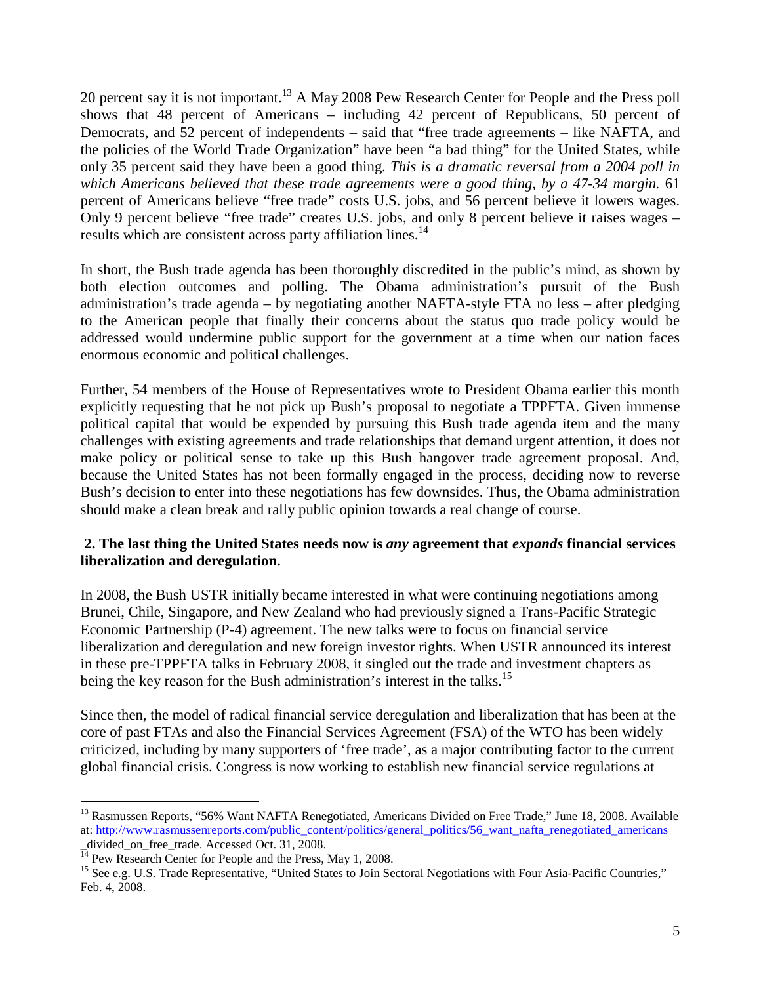20 percent say it is not important.<sup>[13](#page-5-0)</sup> A May 2008 Pew Research Center for People and the Press poll shows that 48 percent of Americans – including 42 percent of Republicans, 50 percent of Democrats, and 52 percent of independents – said that "free trade agreements – like NAFTA, and the policies of the World Trade Organization" have been "a bad thing" for the United States, while only 35 percent said they have been a good thing. *This is a dramatic reversal from a 2004 poll in which Americans believed that these trade agreements were a good thing, by a 47-34 margin.* 61 percent of Americans believe "free trade" costs U.S. jobs, and 56 percent believe it lowers wages. Only 9 percent believe "free trade" creates U.S. jobs, and only 8 percent believe it raises wages – results which are consistent across party affiliation lines.<sup>[14](#page-5-1)</sup>

In short, the Bush trade agenda has been thoroughly discredited in the public's mind, as shown by both election outcomes and polling. The Obama administration's pursuit of the Bush administration's trade agenda – by negotiating another NAFTA-style FTA no less – after pledging to the American people that finally their concerns about the status quo trade policy would be addressed would undermine public support for the government at a time when our nation faces enormous economic and political challenges.

Further, 54 members of the House of Representatives wrote to President Obama earlier this month explicitly requesting that he not pick up Bush's proposal to negotiate a TPPFTA. Given immense political capital that would be expended by pursuing this Bush trade agenda item and the many challenges with existing agreements and trade relationships that demand urgent attention, it does not make policy or political sense to take up this Bush hangover trade agreement proposal. And, because the United States has not been formally engaged in the process, deciding now to reverse Bush's decision to enter into these negotiations has few downsides. Thus, the Obama administration should make a clean break and rally public opinion towards a real change of course.

## **2. The last thing the United States needs now is** *any* **agreement that** *expands* **financial services liberalization and deregulation.**

In 2008, the Bush USTR initially became interested in what were continuing negotiations among Brunei, Chile, Singapore, and New Zealand who had previously signed a Trans-Pacific Strategic Economic Partnership (P-4) agreement. The new talks were to focus on financial service liberalization and deregulation and new foreign investor rights. When USTR announced its interest in these pre-TPPFTA talks in February 2008, it singled out the trade and investment chapters as beingthe key reason for the Bush administration's interest in the talks[.](#page-5-2)<sup>15</sup>

Since then, the model of radical financial service deregulation and liberalization that has been at the core of past FTAs and also the Financial Services Agreement (FSA) of the WTO has been widely criticized, including by many supporters of 'free trade', as a major contributing factor to the current global financial crisis. Congress is now working to establish new financial service regulations at

<span id="page-5-0"></span><sup>&</sup>lt;sup>13</sup> Rasmussen Reports, "56% Want NAFTA Renegotiated, Americans Divided on Free Trade," June 18, 2008. Available at: http://www.rasmussenreports.com/public\_content/politics/general\_politics/56\_want\_nafta\_renegotiated\_americans \_divided\_on\_free\_trade. Accessed Oct. 31, 2008.

<span id="page-5-2"></span><span id="page-5-1"></span><sup>&</sup>lt;sup>14</sup> Pew Research Center for People and the Press, May 1, 2008.

<sup>&</sup>lt;sup>15</sup> See e.g. U.S. Trade Representative, "United States to Join Sectoral Negotiations with Four Asia-Pacific Countries," Feb. 4, 2008.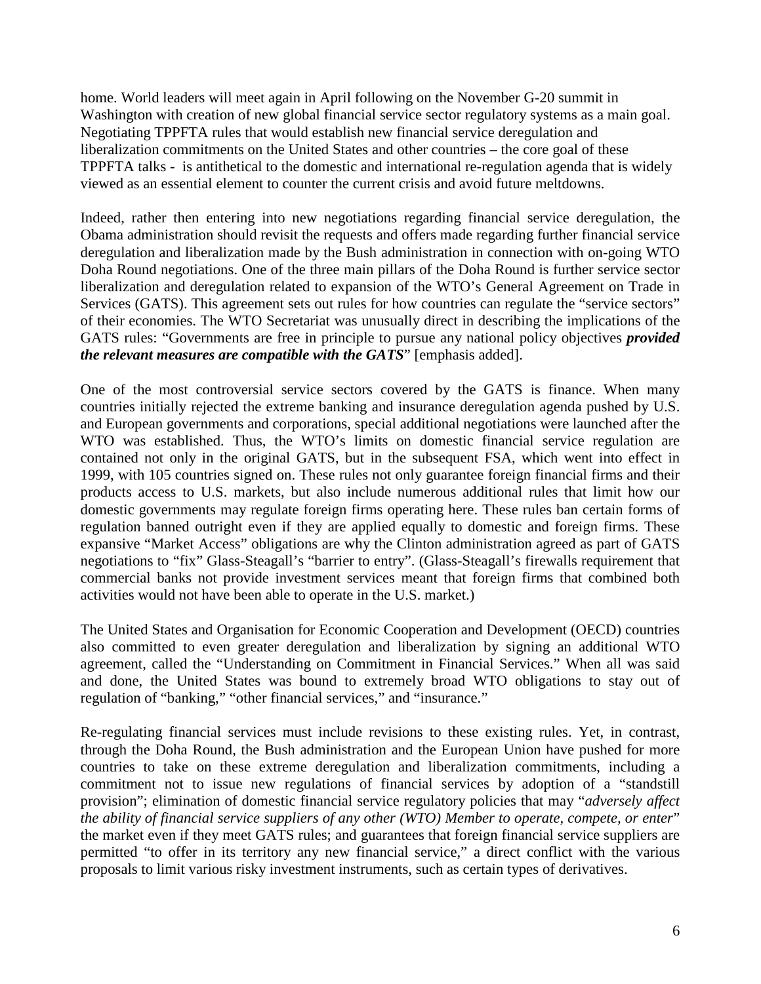home. World leaders will meet again in April following on the November G-20 summit in Washington with creation of new global financial service sector regulatory systems as a main goal. Negotiating TPPFTA rules that would establish new financial service deregulation and liberalization commitments on the United States and other countries – the core goal of these TPPFTA talks - is antithetical to the domestic and international re-regulation agenda that is widely viewed as an essential element to counter the current crisis and avoid future meltdowns.

Indeed, rather then entering into new negotiations regarding financial service deregulation, the Obama administration should revisit the requests and offers made regarding further financial service deregulation and liberalization made by the Bush administration in connection with on-going WTO Doha Round negotiations. One of the three main pillars of the Doha Round is further service sector liberalization and deregulation related to expansion of the WTO's General Agreement on Trade in Services (GATS). This agreement sets out rules for how countries can regulate the "service sectors" of their economies. The WTO Secretariat was unusually direct in describing the implications of the GATS rules: "Governments are free in principle to pursue any national policy objectives *provided the relevant measures are compatible with the GATS*" [emphasis added].

One of the most controversial service sectors covered by the GATS is finance. When many countries initially rejected the extreme banking and insurance deregulation agenda pushed by U.S. and European governments and corporations, special additional negotiations were launched after the WTO was established. Thus, the WTO's limits on domestic financial service regulation are contained not only in the original GATS, but in the subsequent FSA, which went into effect in 1999, with 105 countries signed on. These rules not only guarantee foreign financial firms and their products access to U.S. markets, but also include numerous additional rules that limit how our domestic governments may regulate foreign firms operating here. These rules ban certain forms of regulation banned outright even if they are applied equally to domestic and foreign firms. These expansive "Market Access" obligations are why the Clinton administration agreed as part of GATS negotiations to "fix" Glass-Steagall's "barrier to entry". (Glass-Steagall's firewalls requirement that commercial banks not provide investment services meant that foreign firms that combined both activities would not have been able to operate in the U.S. market.)

The United States and Organisation for Economic Cooperation and Development (OECD) countries also committed to even greater deregulation and liberalization by signing an additional WTO agreement, called the "Understanding on Commitment in Financial Services." When all was said and done, the United States was bound to extremely broad WTO obligations to stay out of regulation of "banking," "other financial services," and "insurance."

Re-regulating financial services must include revisions to these existing rules. Yet, in contrast, through the Doha Round, the Bush administration and the European Union have pushed for more countries to take on these extreme deregulation and liberalization commitments, including a commitment not to issue new regulations of financial services by adoption of a "standstill provision"; elimination of domestic financial service regulatory policies that may "*adversely affect the ability of financial service suppliers of any other (WTO) Member to operate, compete, or enter*" the market even if they meet GATS rules; and guarantees that foreign financial service suppliers are permitted "to offer in its territory any new financial service," a direct conflict with the various proposals to limit various risky investment instruments, such as certain types of derivatives.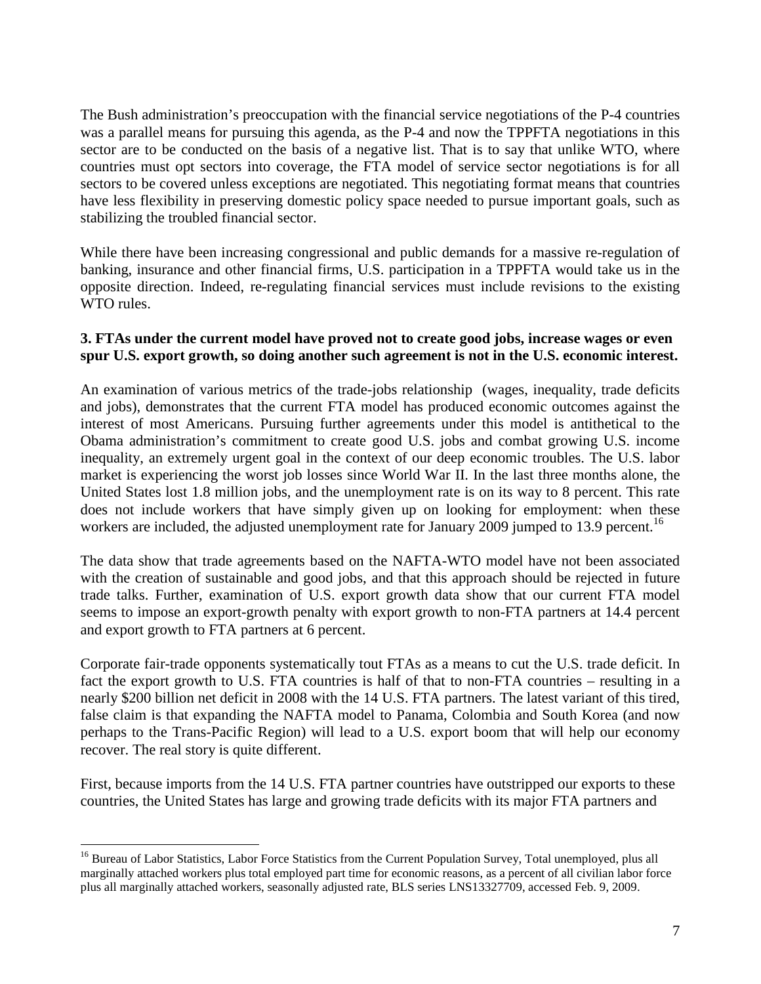The Bush administration's preoccupation with the financial service negotiations of the P-4 countries was a parallel means for pursuing this agenda, as the P-4 and now the TPPFTA negotiations in this sector are to be conducted on the basis of a negative list. That is to say that unlike WTO, where countries must opt sectors into coverage, the FTA model of service sector negotiations is for all sectors to be covered unless exceptions are negotiated. This negotiating format means that countries have less flexibility in preserving domestic policy space needed to pursue important goals, such as stabilizing the troubled financial sector.

While there have been increasing congressional and public demands for a massive re-regulation of banking, insurance and other financial firms, U.S. participation in a TPPFTA would take us in the opposite direction. Indeed, re-regulating financial services must include revisions to the existing WTO rules.

#### **3. FTAs under the current model have proved not to create good jobs, increase wages or even spur U.S. export growth, so doing another such agreement is not in the U.S. economic interest.**

An examination of various metrics of the trade-jobs relationship (wages, inequality, trade deficits and jobs), demonstrates that the current FTA model has produced economic outcomes against the interest of most Americans. Pursuing further agreements under this model is antithetical to the Obama administration's commitment to create good U.S. jobs and combat growing U.S. income inequality, an extremely urgent goal in the context of our deep economic troubles. The U.S. labor market is experiencing the worst job losses since World War II. In the last three months alone, the United States lost 1.8 million jobs, and the unemployment rate is on its way to 8 percent. This rate does not include workers that have simply given up on looking for employment: when these workers are included, the adjusted unemployment rate for January 2009 jumped to 13.9 percent.<sup>[16](#page-7-0)</sup>

The data show that trade agreements based on the NAFTA-WTO model have not been associated with the creation of sustainable and good jobs, and that this approach should be rejected in future trade talks. Further, examination of U.S. export growth data show that our current FTA model seems to impose an export-growth penalty with export growth to non-FTA partners at 14.4 percent and export growth to FTA partners at 6 percent.

Corporate fair-trade opponents systematically tout FTAs as a means to cut the U.S. trade deficit. In fact the export growth to U.S. FTA countries is half of that to non-FTA countries – resulting in a nearly \$200 billion net deficit in 2008 with the 14 U.S. FTA partners. The latest variant of this tired, false claim is that expanding the NAFTA model to Panama, Colombia and South Korea (and now perhaps to the Trans-Pacific Region) will lead to a U.S. export boom that will help our economy recover. The real story is quite different.

First, because imports from the 14 U.S. FTA partner countries have outstripped our exports to these countries, the United States has large and growing trade deficits with its major FTA partners and

<span id="page-7-0"></span><sup>&</sup>lt;sup>16</sup> Bureau of Labor Statistics, Labor Force Statistics from the Current Population Survey, Total unemployed, plus all marginally attached workers plus total employed part time for economic reasons, as a percent of all civilian labor force plus all marginally attached workers, seasonally adjusted rate, BLS series LNS13327709, accessed Feb. 9, 2009.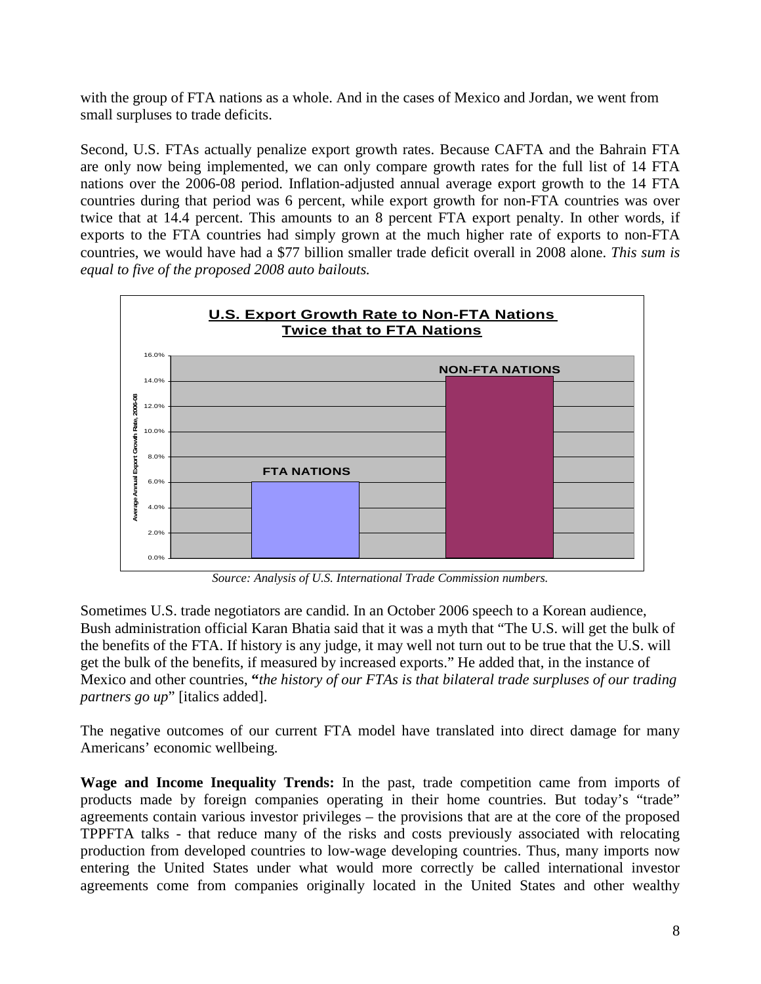with the group of FTA nations as a whole. And in the cases of Mexico and Jordan, we went from small surpluses to trade deficits.

Second, U.S. FTAs actually penalize export growth rates. Because CAFTA and the Bahrain FTA are only now being implemented, we can only compare growth rates for the full list of 14 FTA nations over the 2006-08 period. Inflation-adjusted annual average export growth to the 14 FTA countries during that period was 6 percent, while export growth for non-FTA countries was over twice that at 14.4 percent. This amounts to an 8 percent FTA export penalty. In other words, if exports to the FTA countries had simply grown at the much higher rate of exports to non-FTA countries, we would have had a \$77 billion smaller trade deficit overall in 2008 alone. *This sum is equal to five of the proposed 2008 auto bailouts.*



*Source: Analysis of U.S. International Trade Commission numbers.*

Sometimes U.S. trade negotiators are candid. In an October 2006 speech to a Korean audience, Bush administration official Karan Bhatia said that it was a myth that "The U.S. will get the bulk of the benefits of the FTA. If history is any judge, it may well not turn out to be true that the U.S. will get the bulk of the benefits, if measured by increased exports." He added that, in the instance of Mexico and other countries, **"***the history of our FTAs is that bilateral trade surpluses of our trading partners go up*" [italics added].

The negative outcomes of our current FTA model have translated into direct damage for many Americans' economic wellbeing.

**Wage and Income Inequality Trends:** In the past, trade competition came from imports of products made by foreign companies operating in their home countries. But today's "trade" agreements contain various investor privileges – the provisions that are at the core of the proposed TPPFTA talks - that reduce many of the risks and costs previously associated with relocating production from developed countries to low-wage developing countries. Thus, many imports now entering the United States under what would more correctly be called international investor agreements come from companies originally located in the United States and other wealthy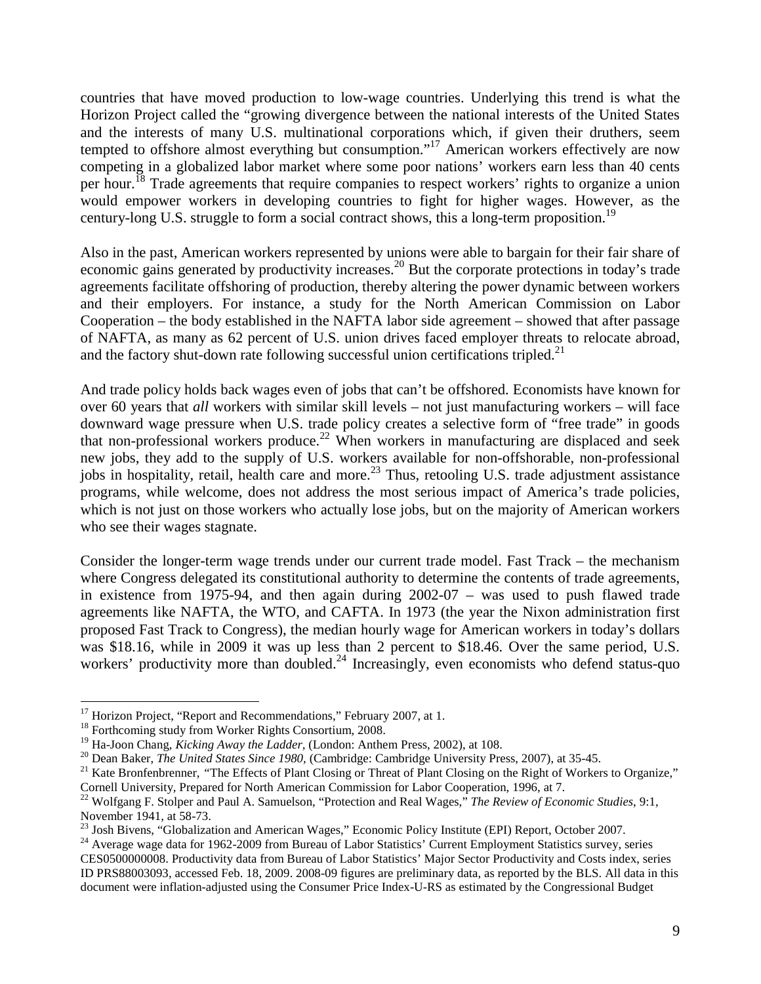countries that have moved production to low-wage countries. Underlying this trend is what the Horizon Project called the "growing divergence between the national interests of the United States and the interests of many U.S. multinational corporations which, if given their druthers, seem tempted to offshore almost everything but consumption."<sup>[17](#page-9-0)</sup> American workers effectively are now competing in a globalized labor market where some poor nations' workers earn less than 40 cents perhour.<sup>18</sup> Trade agreements that require companies to respect workers' rights to organize a union would empower workers in developing countries to fight for higher wages. However, as the century-long U.S. struggle to form a social contract shows, this a long-term proposition.<sup>[19](#page-9-2)</sup>

Also in the past, American workers represented by unions were able to bargain for their fair share of economic gains generated by productivity increases.<sup>[20](#page-9-3)</sup> But the corporate protections in today's trade agreements facilitate offshoring of production, thereby altering the power dynamic between workers and their employers. For instance, a study for the North American Commission on Labor Cooperation – the body established in the NAFTA labor side agreement – showed that after passage of NAFTA, as many as 62 percent of U.S. union drives faced employer threats to relocate abroad, and the factory shut-down rate following successful union certifications tripled.<sup>[21](#page-9-4)</sup>

And trade policy holds back wages even of jobs that can't be offshored. Economists have known for over 60 years that *all* workers with similar skill levels – not just manufacturing workers – will face downward wage pressure when U.S. trade policy creates a selective form of "free trade" in goods that non-professional workers produce.<sup>[22](#page-9-5)</sup> When workers in manufacturing are displaced and seek new jobs, they add to the supply of U.S. workers available for non-offshorable, non-professional jobs in hospitality, retail, health care and more.<sup>[23](#page-9-6)</sup> Thus, retooling U.S. trade adjustment assistance programs, while welcome, does not address the most serious impact of America's trade policies, which is not just on those workers who actually lose jobs, but on the majority of American workers who see their wages stagnate.

Consider the longer-term wage trends under our current trade model. Fast Track – the mechanism where Congress delegated its constitutional authority to determine the contents of trade agreements, in existence from 1975-94, and then again during 2002-07 – was used to push flawed trade agreements like NAFTA, the WTO, and CAFTA. In 1973 (the year the Nixon administration first proposed Fast Track to Congress), the median hourly wage for American workers in today's dollars was \$18.16, while in 2009 it was up less than 2 percent to \$18.46. Over the same period, U.S. workers' productivity more than doubled.<sup>[24](#page-9-7)</sup> Increasingly, even economists who defend status-quo

<span id="page-9-0"></span><sup>&</sup>lt;sup>17</sup> Horizon Project, "Report and Recommendations," February 2007, at 1.

<span id="page-9-2"></span><span id="page-9-1"></span><sup>&</sup>lt;sup>18</sup> Forthcoming study from Worker Rights Consortium, 2008.

<sup>19</sup> Ha-Joon Chang, *Kicking Away the Ladder,* (London: Anthem Press, 2002), at 108.

<span id="page-9-3"></span><sup>20</sup> Dean Baker, *The United States Since 1980,* (Cambridge: Cambridge University Press, 2007), at 35-45.

<span id="page-9-4"></span><sup>&</sup>lt;sup>21</sup> Kate Bronfenbrenner, "The Effects of Plant Closing or Threat of Plant Closing on the Right of Workers to Organize," Cornell University, Prepared for North American Commission for Labor Cooperation, 1996, at 7.

<span id="page-9-5"></span><sup>22</sup> Wolfgang F. Stolper and Paul A. Samuelson, "Protection and Real Wages," *The Review of Economic Studies*, 9:1, November 1941, at 58-73.

<span id="page-9-7"></span><span id="page-9-6"></span> $^{23}$  Josh Bivens, "Globalization and American Wages," Economic Policy Institute (EPI) Report, October 2007.

<sup>&</sup>lt;sup>24</sup> Average wage data for 1962-2009 from Bureau of Labor Statistics' Current Employment Statistics survey, series CES0500000008. Productivity data from Bureau of Labor Statistics' Major Sector Productivity and Costs index, series ID PRS88003093, accessed Feb. 18, 2009. 2008-09 figures are preliminary data, as reported by the BLS. All data in this document were inflation-adjusted using the Consumer Price Index-U-RS as estimated by the Congressional Budget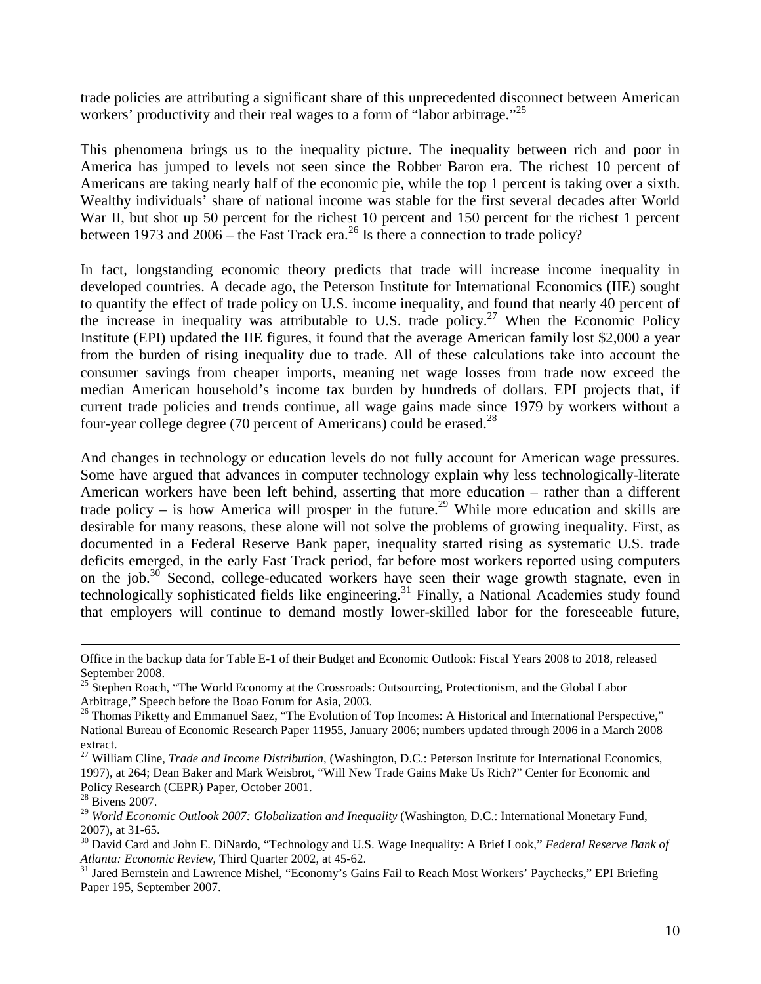trade policies are attributing a significant share of this unprecedented disconnect between American workers' productivity and their real wages to a form of "labor arbitrage."<sup>[25](#page-10-0)</sup>

This phenomena brings us to the inequality picture. The inequality between rich and poor in America has jumped to levels not seen since the Robber Baron era. The richest 10 percent of Americans are taking nearly half of the economic pie, while the top 1 percent is taking over a sixth. Wealthy individuals' share of national income was stable for the first several decades after World War II, but shot up 50 percent for the richest 10 percent and 150 percent for the richest 1 percent between1973 and  $2006$  – the Fast Track era[.](#page-10-1)<sup>26</sup> Is there a connection to trade policy?

In fact, longstanding economic theory predicts that trade will increase income inequality in developed countries. A decade ago, the Peterson Institute for International Economics (IIE) sought to quantify the effect of trade policy on U.S. income inequality, and found that nearly 40 percent of the increase in inequality was attributable to U.S. trade policy.<sup>[27](#page-10-2)</sup> When the Economic Policy Institute (EPI) updated the IIE figures, it found that the average American family lost \$2,000 a year from the burden of rising inequality due to trade. All of these calculations take into account the consumer savings from cheaper imports, meaning net wage losses from trade now exceed the median American household's income tax burden by hundreds of dollars. EPI projects that, if current trade policies and trends continue, all wage gains made since 1979 by workers without a four-year college degree (70 percent of Americans) could be erased. $^{28}$  $^{28}$  $^{28}$ 

And changes in technology or education levels do not fully account for American wage pressures. Some have argued that advances in computer technology explain why less technologically-literate American workers have been left behind, asserting that more education – rather than a different trade policy – is how America will prosper in the future.<sup>[29](#page-10-4)</sup> While more education and skills are desirable for many reasons, these alone will not solve the problems of growing inequality. First, as documented in a Federal Reserve Bank paper, inequality started rising as systematic U.S. trade deficits emerged, in the early Fast Track period, far before most workers reported using computers onthe job.<sup>30</sup> Second, college-educated workers have seen their wage growth stagnate, even in technologically sophisticated fields like engineering.<sup>[31](#page-10-6)</sup> Finally, a National Academies study found that employers will continue to demand mostly lower-skilled labor for the foreseeable future,

<span id="page-10-6"></span><sup>31</sup> Jared Bernstein and Lawrence Mishel, "Economy's Gains Fail to Reach Most Workers' Paychecks," EPI Briefing Paper 195, September 2007.

Office in the backup data for Table E-1 of their Budget and Economic Outlook: Fiscal Years 2008 to 2018, released September 2008.

<span id="page-10-0"></span><sup>&</sup>lt;sup>25</sup> Stephen Roach, "The World Economy at the Crossroads: Outsourcing, Protectionism, and the Global Labor Arbitrage," Speech before the Boao Forum for Asia, 2003.

<span id="page-10-1"></span><sup>&</sup>lt;sup>26</sup> Thomas Piketty and Emmanuel Saez, "The Evolution of Top Incomes: A Historical and International Perspective," National Bureau of Economic Research Paper 11955, January 2006; numbers updated through 2006 in a March 2008 extract.

<span id="page-10-2"></span><sup>27</sup> William Cline, *Trade and Income Distribution*, (Washington, D.C.: Peterson Institute for International Economics, 1997), at 264; Dean Baker and Mark Weisbrot, "Will New Trade Gains Make Us Rich?" Center for Economic and Policy Research (CEPR) Paper, October 2001.

<span id="page-10-3"></span><sup>28</sup> Bivens 2007.

<span id="page-10-4"></span><sup>29</sup> *World Economic Outlook 2007: Globalization and Inequality* (Washington, D.C.: International Monetary Fund, 2007), at 31-65.

<span id="page-10-5"></span><sup>30</sup> David Card and John E. DiNardo, "Technology and U.S. Wage Inequality: A Brief Look," *Federal Reserve Bank of Atlanta: Economic Review,* Third Quarter 2002, at 45-62.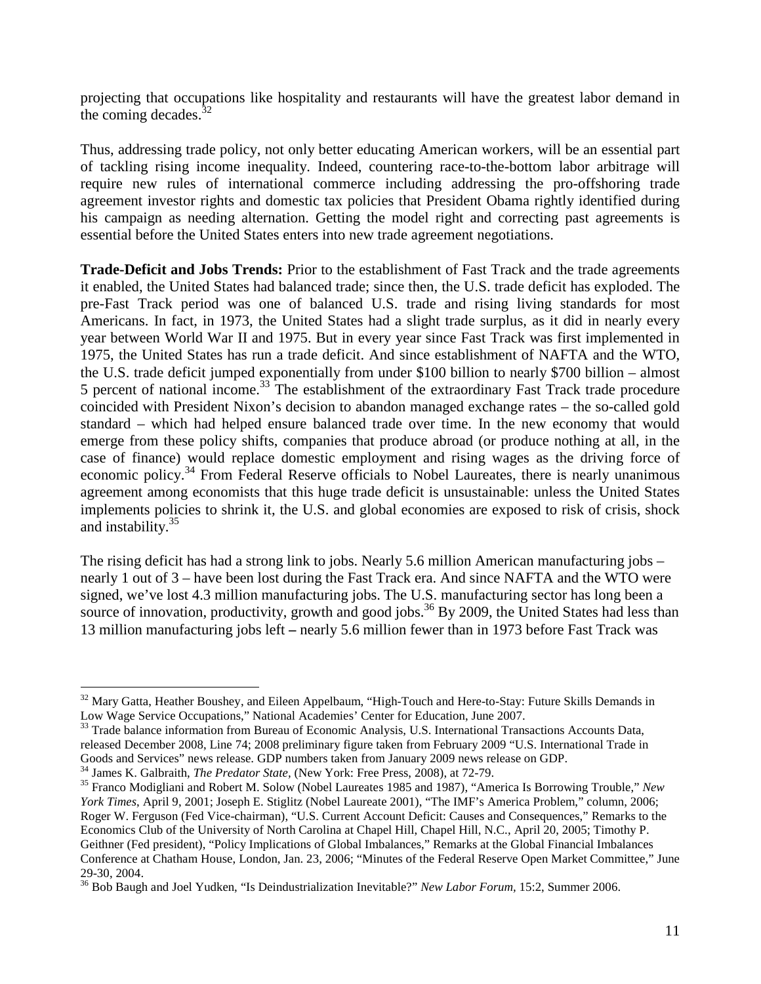projecting that occupations like hospitality and restaurants will have the greatest labor demand in the coming decades. $32$ 

Thus, addressing trade policy, not only better educating American workers, will be an essential part of tackling rising income inequality. Indeed, countering race-to-the-bottom labor arbitrage will require new rules of international commerce including addressing the pro-offshoring trade agreement investor rights and domestic tax policies that President Obama rightly identified during his campaign as needing alternation. Getting the model right and correcting past agreements is essential before the United States enters into new trade agreement negotiations.

**Trade-Deficit and Jobs Trends:** Prior to the establishment of Fast Track and the trade agreements it enabled, the United States had balanced trade; since then, the U.S. trade deficit has exploded. The pre-Fast Track period was one of balanced U.S. trade and rising living standards for most Americans. In fact, in 1973, the United States had a slight trade surplus, as it did in nearly every year between World War II and 1975. But in every year since Fast Track was first implemented in 1975, the United States has run a trade deficit. And since establishment of NAFTA and the WTO, the U.S. trade deficit jumped exponentially from under \$100 billion to nearly \$700 billion – almost 5 percent of national income.<sup>[33](#page-11-1)</sup> The establishment of the extraordinary Fast Track trade procedure coincided with President Nixon's decision to abandon managed exchange rates – the so-called gold standard – which had helped ensure balanced trade over time. In the new economy that would emerge from these policy shifts, companies that produce abroad (or produce nothing at all, in the case of finance) would replace domestic employment and rising wages as the driving force of economic policy.<sup>[34](#page-11-2)</sup> From Federal Reserve officials to Nobel Laureates, there is nearly unanimous agreement among economists that this huge trade deficit is unsustainable: unless the United States implements policies to shrink it, the U.S. and global economies are exposed to risk of crisis, shock and instability.<sup>[35](#page-11-3)</sup>

The rising deficit has had a strong link to jobs. Nearly 5.6 million American manufacturing jobs – nearly 1 out of 3 – have been lost during the Fast Track era. And since NAFTA and the WTO were signed, we've lost 4.3 million manufacturing jobs. The U.S. manufacturing sector has long been a sourceof innovation, productivity, growth and good jobs[.](#page-11-4)<sup>36</sup> By 2009, the United States had less than 13 million manufacturing jobs left **–** nearly 5.6 million fewer than in 1973 before Fast Track was

<span id="page-11-3"></span><span id="page-11-2"></span><sup>34</sup> James K. Galbraith, *The Predator State,* (New York: Free Press, 2008), at 72-79.

<span id="page-11-0"></span><sup>&</sup>lt;sup>32</sup> Mary Gatta, Heather Boushey, and Eileen Appelbaum, "High-Touch and Here-to-Stay: Future Skills Demands in Low Wage Service Occupations," National Academies' Center for Education, June 2007.

<span id="page-11-1"></span><sup>&</sup>lt;sup>33</sup> Trade balance information from Bureau of Economic Analysis, U.S. International Transactions Accounts Data, released December 2008, Line 74; 2008 preliminary figure taken from February 2009 "U.S. International Trade in Goods and Services" news release. GDP numbers taken from January 2009 news release on GDP.

<sup>35</sup> Franco Modigliani and Robert M. Solow (Nobel Laureates 1985 and 1987), "America Is Borrowing Trouble," *New York Times*, April 9, 2001; Joseph E. Stiglitz (Nobel Laureate 2001), "The IMF's America Problem," column, 2006; Roger W. Ferguson (Fed Vice-chairman), "U.S. Current Account Deficit: Causes and Consequences," Remarks to the Economics Club of the University of North Carolina at Chapel Hill, Chapel Hill, N.C., April 20, 2005; Timothy P. Geithner (Fed president), "Policy Implications of Global Imbalances," Remarks at the Global Financial Imbalances Conference at Chatham House, London, Jan. 23, 2006; "Minutes of the Federal Reserve Open Market Committee," June 29-30, 2004.

<span id="page-11-4"></span><sup>36</sup> Bob Baugh and Joel Yudken, "Is Deindustrialization Inevitable?" *New Labor Forum,* 15:2, Summer 2006.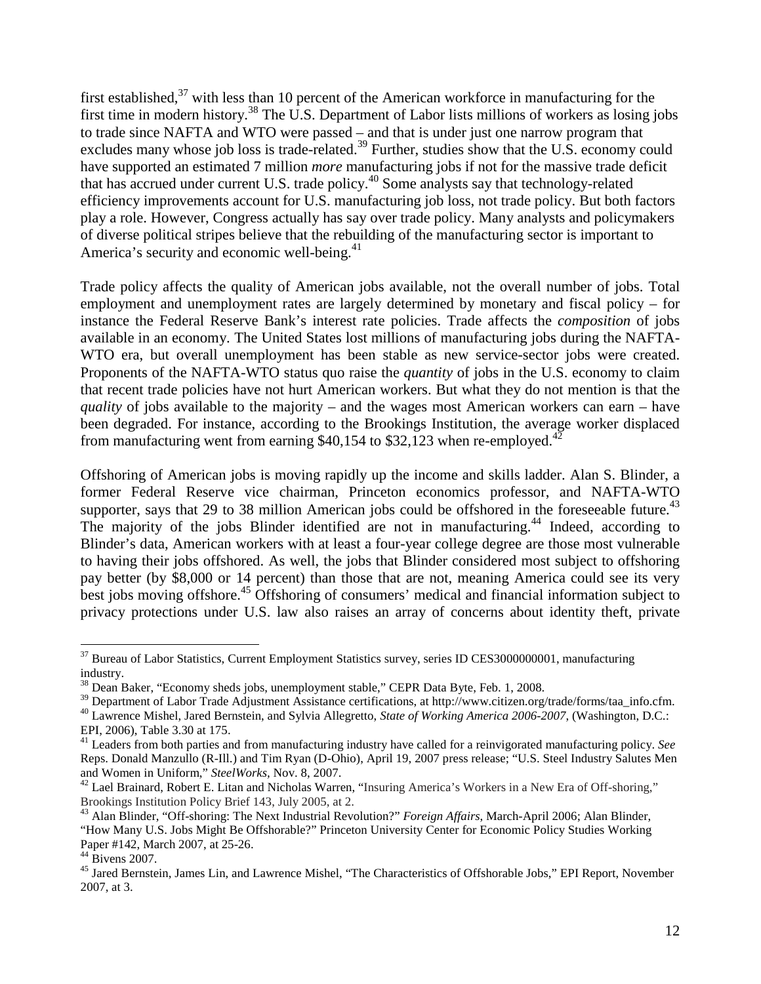first established,  $37$  with less than 10 percent of the American workforce in manufacturing for the first time in modern history.<sup>[38](#page-12-1)</sup> The U.S. Department of Labor lists millions of workers as losing jobs to trade since NAFTA and WTO were passed – and that is under just one narrow program that excludes many whose job loss is trade-related.<sup>[39](#page-12-2)</sup> Further, studies show that the U.S. economy could have supported an estimated 7 million *more* manufacturing jobs if not for the massive trade deficit that has accrued under current U.S. trade policy.[40](#page-12-3) Some analysts say that technology-related efficiency improvements account for U.S. manufacturing job loss, not trade policy. But both factors play a role. However, Congress actually has say over trade policy. Many analysts and policymakers of diverse political stripes believe that the rebuilding of the manufacturing sector is important to America's security and economic well-being. $41$ 

Trade policy affects the quality of American jobs available, not the overall number of jobs. Total employment and unemployment rates are largely determined by monetary and fiscal policy – for instance the Federal Reserve Bank's interest rate policies. Trade affects the *composition* of jobs available in an economy. The United States lost millions of manufacturing jobs during the NAFTA-WTO era, but overall unemployment has been stable as new service-sector jobs were created. Proponents of the NAFTA-WTO status quo raise the *quantity* of jobs in the U.S. economy to claim that recent trade policies have not hurt American workers. But what they do not mention is that the *quality* of jobs available to the majority – and the wages most American workers can earn – have been degraded. For instance, according to the Brookings Institution, the average worker displaced from manufacturing went from earning \$40,154 to \$32,123 when re-employed.<sup>[42](#page-12-5)</sup>

Offshoring of American jobs is moving rapidly up the income and skills ladder. Alan S. Blinder, a former Federal Reserve vice chairman, Princeton economics professor, and NAFTA-WTO supporter, says that 29 to 38 million American jobs could be offshored in the foreseeable future.<sup>[43](#page-12-6)</sup> The majority of the jobs Blinder identified are not in manufacturing.<sup>[44](#page-12-7)</sup> Indeed, according to Blinder's data, American workers with at least a four-year college degree are those most vulnerable to having their jobs offshored. As well, the jobs that Blinder considered most subject to offshoring pay better (by \$8,000 or 14 percent) than those that are not, meaning America could see its very best jobs moving offshore.<sup>[45](#page-12-8)</sup> Offshoring of consumers' medical and financial information subject to privacy protections under U.S. law also raises an array of concerns about identity theft, private

<span id="page-12-0"></span><sup>&</sup>lt;sup>37</sup> Bureau of Labor Statistics, Current Employment Statistics survey, series ID CES3000000001, manufacturing industry.

<span id="page-12-1"></span> $38$  Dean Baker, "Economy sheds jobs, unemployment stable," CEPR Data Byte, Feb. 1, 2008.

<span id="page-12-3"></span><span id="page-12-2"></span><sup>&</sup>lt;sup>39</sup> Department of Labor Trade Adjustment Assistance certifications, at http://www.citizen.org/trade/forms/taa\_info.cfm. <sup>40</sup> Lawrence Mishel, Jared Bernstein, and Sylvia Allegretto, *State of Working America 2006-2007*, (Washington, D.C.:

EPI, 2006), Table 3.30 at 175.

<span id="page-12-4"></span><sup>41</sup> Leaders from both parties and from manufacturing industry have called for a reinvigorated manufacturing policy. *See* Reps. Donald Manzullo (R-Ill.) and Tim Ryan (D-Ohio), April 19, 2007 press release; "U.S. Steel Industry Salutes Men and Women in Uniform," *SteelWorks,* Nov. 8, 2007.

<span id="page-12-5"></span> $42$  Lael Brainard, Robert E. Litan and Nicholas Warren, "Insuring America's Workers in a New Era of Off-shoring," Brookings Institution Policy Brief 143, July 2005, at 2.

<span id="page-12-6"></span><sup>43</sup> Alan Blinder, "Off-shoring: The Next Industrial Revolution?" *Foreign Affairs*, March-April 2006; Alan Blinder, "How Many U.S. Jobs Might Be Offshorable?" Princeton University Center for Economic Policy Studies Working Paper #142, March 2007, at 25-26.

<span id="page-12-7"></span> $44$  Bivens 2007.

<span id="page-12-8"></span><sup>&</sup>lt;sup>45</sup> Jared Bernstein, James Lin, and Lawrence Mishel, "The Characteristics of Offshorable Jobs," EPI Report, November 2007, at 3.